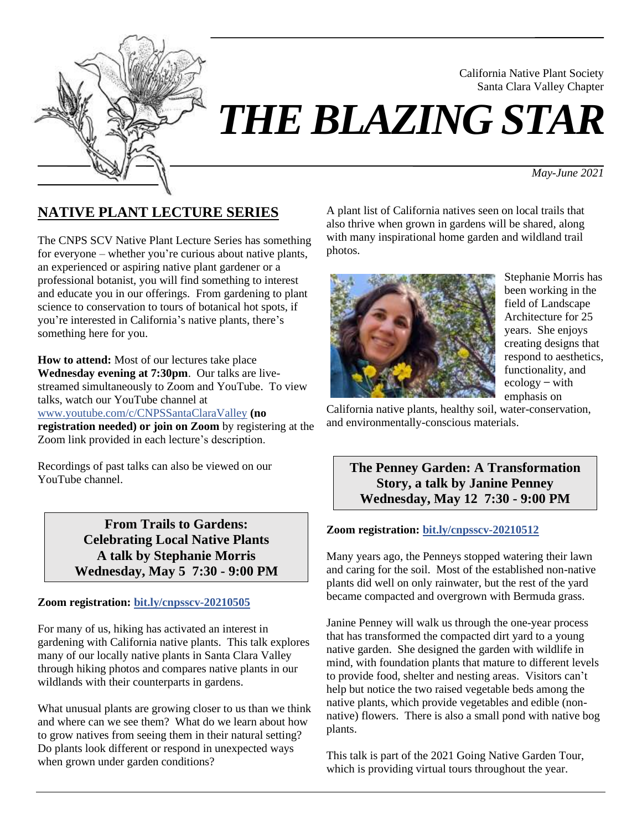

# *THE BLAZING STAR*

*May-June 2021*

California Native Plant Society Santa Clara Valley Chapter

# **NATIVE PLANT LECTURE SERIES**

The CNPS SCV Native Plant Lecture Series has something for everyone – whether you're curious about native plants, an experienced or aspiring native plant gardener or a professional botanist, you will find something to interest and educate you in our offerings. From gardening to plant science to conservation to tours of botanical hot spots, if you're interested in California's native plants, there's something here for you.

**How to attend:** Most of our lectures take place **Wednesday evening at 7:30pm**. Our talks are livestreamed simultaneously to Zoom and YouTube. To view talks, watch our YouTube channel at [www.youtube.com/c/CNPSSantaClaraValley](https://www.youtube.com/c/CNPSSantaClaraValley) **(no registration needed) or join on Zoom** by registering at the Zoom link provided in each lecture's description.

Recordings of past talks can also be viewed on our YouTube channel.

> **From Trails to Gardens: Celebrating Local Native Plants A talk by Stephanie Morris Wednesday, May 5 7:30 - 9:00 PM**

#### **Zoom registration: [bit.ly/cnpsscv-20210505](https://bit.ly/cnpsscv-20210505)**

For many of us, hiking has activated an interest in gardening with California native plants. This talk explores many of our locally native plants in Santa Clara Valley through hiking photos and compares native plants in our wildlands with their counterparts in gardens.

What unusual plants are growing closer to us than we think and where can we see them? What do we learn about how to grow natives from seeing them in their natural setting? Do plants look different or respond in unexpected ways when grown under garden conditions?

A plant list of California natives seen on local trails that also thrive when grown in gardens will be shared, along with many inspirational home garden and wildland trail photos.



Stephanie Morris has been working in the field of Landscape Architecture for 25 years. She enjoys creating designs that respond to aesthetics, functionality, and  $ecology - with$ emphasis on

California native plants, healthy soil, water-conservation, and environmentally-conscious materials.

**The Penney Garden: A Transformation Story, a talk by Janine Penney Wednesday, May 12 7:30 - 9:00 PM**

#### **Zoom registration: [bit.ly/cnpsscv-20210512](https://bit.ly/cnpsscv-20210512)**

Many years ago, the Penneys stopped watering their lawn and caring for the soil. Most of the established non-native plants did well on only rainwater, but the rest of the yard became compacted and overgrown with Bermuda grass.

Janine Penney will walk us through the one-year process that has transformed the compacted dirt yard to a young native garden. She designed the garden with wildlife in mind, with foundation plants that mature to different levels to provide food, shelter and nesting areas. Visitors can't help but notice the two raised vegetable beds among the native plants, which provide vegetables and edible (nonnative) flowers. There is also a small pond with native bog plants.

This talk is part of the 2021 Going Native Garden Tour, which is providing virtual tours throughout the year.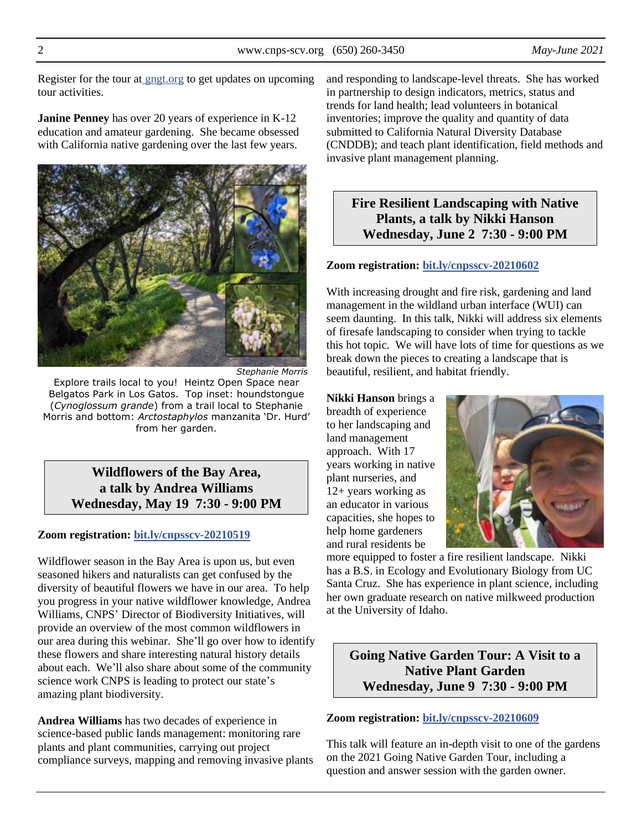Register for the tour at [gngt.org](https://gngt.org/) to get updates on upcoming tour activities.

**Janine Penney** has over 20 years of experience in K-12 education and amateur gardening. She became obsessed with California native gardening over the last few years.



*Stephanie Morris*

Explore trails local to you! Heintz Open Space near Belgatos Park in Los Gatos. Top inset: houndstongue (*Cynoglossum grande*) from a trail local to Stephanie Morris and bottom: *Arctostaphylos* manzanita 'Dr. Hurd' from her garden.

> **Wildflowers of the Bay Area, a talk by Andrea Williams Wednesday, May 19 7:30 - 9:00 PM**

#### **Zoom registration: [bit.ly/cnpsscv-20210519](https://bit.ly/cnpsscv-20210519)**

Wildflower season in the Bay Area is upon us, but even seasoned hikers and naturalists can get confused by the diversity of beautiful flowers we have in our area. To help you progress in your native wildflower knowledge, Andrea Williams, CNPS' Director of Biodiversity Initiatives, will provide an overview of the most common wildflowers in our area during this webinar. She'll go over how to identify these flowers and share interesting natural history details about each. We'll also share about some of the community science work CNPS is leading to protect our state's amazing plant biodiversity.

**Andrea Williams** has two decades of experience in science-based public lands management: monitoring rare plants and plant communities, carrying out project compliance surveys, mapping and removing invasive plants and responding to landscape-level threats. She has worked in partnership to design indicators, metrics, status and trends for land health; lead volunteers in botanical inventories; improve the quality and quantity of data submitted to California Natural Diversity Database (CNDDB); and teach plant identification, field methods and invasive plant management planning.

## **Fire Resilient Landscaping with Native Plants, a talk by Nikki Hanson Wednesday, June 2 7:30 - 9:00 PM**

#### **Zoom registration: [bit.ly/cnpsscv-20210602](https://bit.ly/cnpsscv-20210602)**

With increasing drought and fire risk, gardening and land management in the wildland urban interface (WUI) can seem daunting. In this talk, Nikki will address six elements of firesafe landscaping to consider when trying to tackle this hot topic. We will have lots of time for questions as we break down the pieces to creating a landscape that is beautiful, resilient, and habitat friendly.

**Nikki Hanson** brings a breadth of experience to her landscaping and land management approach. With 17 years working in native plant nurseries, and 12+ years working as an educator in various capacities, she hopes to help home gardeners and rural residents be



more equipped to foster a fire resilient landscape. Nikki has a B.S. in Ecology and Evolutionary Biology from UC Santa Cruz. She has experience in plant science, including her own graduate research on native milkweed production at the University of Idaho.

**Going Native Garden Tour: A Visit to a Native Plant Garden Wednesday, June 9 7:30 - 9:00 PM**

#### **Zoom registration: [bit.ly/cnpsscv-20210609](https://bit.ly/cnpsscv-20210609)**

This talk will feature an in-depth visit to one of the gardens on the 2021 Going Native Garden Tour, including a question and answer session with the garden owner.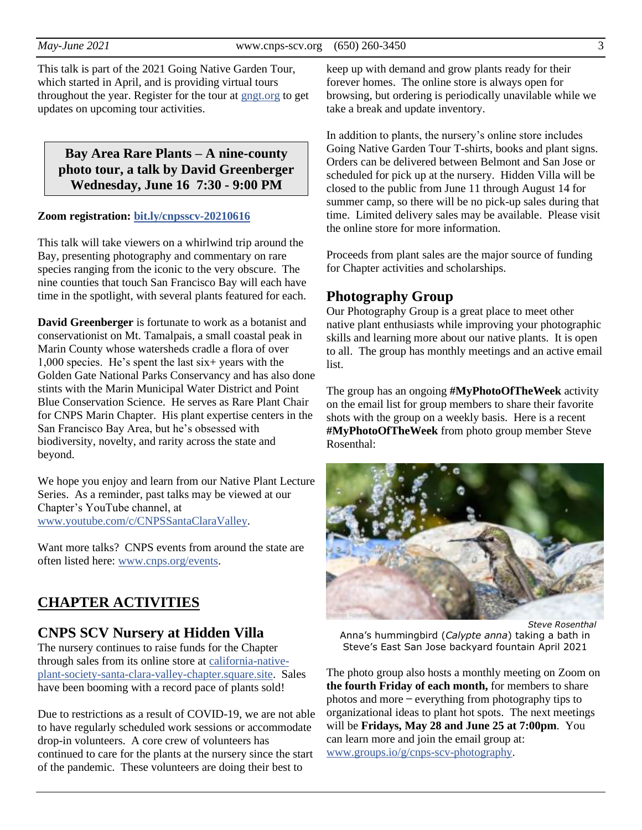*May-June 2021* www.cnps-scv.org (650) 260-3450 3

This talk is part of the 2021 Going Native Garden Tour, which started in April, and is providing virtual tours throughout the year. Register for the tour at [gngt.org](https://gngt.org/) to get updates on upcoming tour activities.

**Bay Area Rare Plants – A nine-county photo tour, a talk by David Greenberger Wednesday, June 16 7:30 - 9:00 PM**

#### **Zoom registration: [bit.ly/cnpsscv-20210616](https://bit.ly/cnpsscv-20210616)**

This talk will take viewers on a whirlwind trip around the Bay, presenting photography and commentary on rare species ranging from the iconic to the very obscure. The nine counties that touch San Francisco Bay will each have time in the spotlight, with several plants featured for each.

**David Greenberger** is fortunate to work as a botanist and conservationist on Mt. Tamalpais, a small coastal peak in Marin County whose watersheds cradle a flora of over 1,000 species. He's spent the last six+ years with the Golden Gate National Parks Conservancy and has also done stints with the Marin Municipal Water District and Point Blue Conservation Science. He serves as Rare Plant Chair for CNPS Marin Chapter. His plant expertise centers in the San Francisco Bay Area, but he's obsessed with biodiversity, novelty, and rarity across the state and beyond.

We hope you enjoy and learn from our Native Plant Lecture Series. As a reminder, past talks may be viewed at our Chapter's YouTube channel, at [www.youtube.com/c/CNPSSantaClaraValley.](https://www.youtube.com/c/CNPSSantaClaraValley)

Want more talks? CNPS events from around the state are often listed here: [www.cnps.org/events.](https://www.cnps.org/events)

## **CHAPTER ACTIVITIES**

## **CNPS SCV Nursery at Hidden Villa**

The nursery continues to raise funds for the Chapter through sales from its online store at [california-native](https://california-native-plant-society-santa-clara-valley-chapter.square.site/)[plant-society-santa-clara-valley-chapter.square.site.](https://california-native-plant-society-santa-clara-valley-chapter.square.site/) Sales have been booming with a record pace of plants sold!

Due to restrictions as a result of COVID-19, we are not able to have regularly scheduled work sessions or accommodate drop-in volunteers. A core crew of volunteers has continued to care for the plants at the nursery since the start of the pandemic. These volunteers are doing their best to

keep up with demand and grow plants ready for their forever homes. The online store is always open for browsing, but ordering is periodically unavilable while we take a break and update inventory.

In addition to plants, the nursery's online store includes Going Native Garden Tour T-shirts, books and plant signs. Orders can be delivered between Belmont and San Jose or scheduled for pick up at the nursery. Hidden Villa will be closed to the public from June 11 through August 14 for summer camp, so there will be no pick-up sales during that time. Limited delivery sales may be available. Please visit the online store for more information.

Proceeds from plant sales are the major source of funding for Chapter activities and scholarships.

## **Photography Group**

Our Photography Group is a great place to meet other native plant enthusiasts while improving your photographic skills and learning more about our native plants. It is open to all. The group has monthly meetings and an active email list.

The group has an ongoing **#MyPhotoOfTheWeek** activity on the email list for group members to share their favorite shots with the group on a weekly basis. Here is a recent **#MyPhotoOfTheWeek** from photo group member Steve Rosenthal:

*Steve Rosenthal* Anna's hummingbird (*Calypte anna*) taking a bath in Steve's East San Jose backyard fountain April 2021

The photo group also hosts a monthly meeting on Zoom on **the fourth Friday of each month,** for members to share photos and more ̶ everything from photography tips to organizational ideas to plant hot spots. The next meetings will be **Fridays, May 28 and June 25 at 7:00pm**. You can learn more and join the email group at: [www.groups.io/g/cnps-scv-photography.](https://www.groups.io/g/CNPS-SCV-Photography)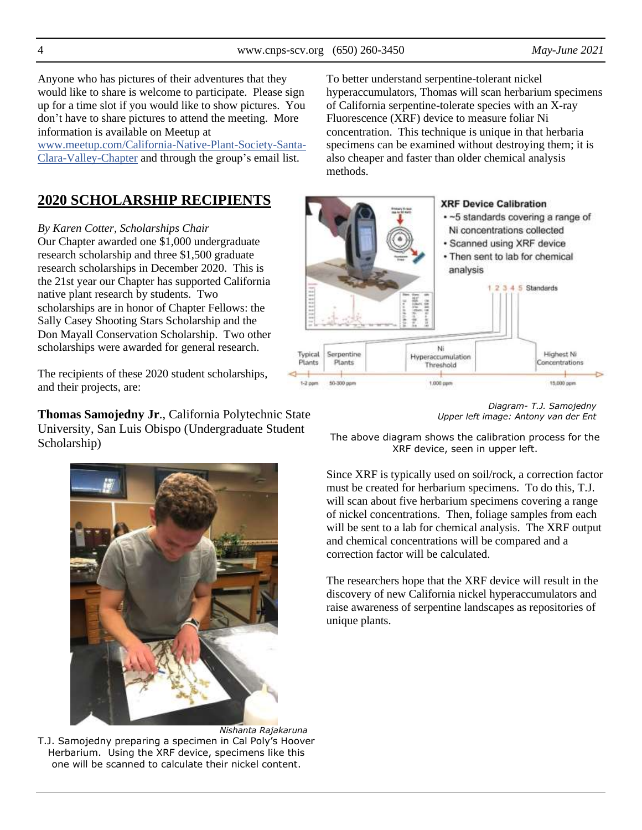Anyone who has pictures of their adventures that they would like to share is welcome to participate. Please sign up for a time slot if you would like to show pictures. You don't have to share pictures to attend the meeting. More information is available on Meetup at

[www.meetup.com/California-Native-Plant-Society-Santa-](https://www.meetup.com/California-Native-Plant-Society-Santa-Clara-Valley-Chapter/)[Clara-Valley-Chapter](https://www.meetup.com/California-Native-Plant-Society-Santa-Clara-Valley-Chapter/) and through the group's email list.

# **2020 SCHOLARSHIP RECIPIENTS**

*By Karen Cotter, Scholarships Chair* Our Chapter awarded one \$1,000 undergraduate research scholarship and three \$1,500 graduate research scholarships in December 2020. This is the 21st year our Chapter has supported California native plant research by students. Two scholarships are in honor of Chapter Fellows: the Sally Casey Shooting Stars Scholarship and the Don Mayall Conservation Scholarship. Two other scholarships were awarded for general research.

The recipients of these 2020 student scholarships, and their projects, are:

**Thomas Samojedny Jr**., California Polytechnic State University, San Luis Obispo (Undergraduate Student Scholarship)



*Nishanta Rajakaruna* T.J. Samojedny preparing a specimen in Cal Poly's Hoover Herbarium. Using the XRF device, specimens like this one will be scanned to calculate their nickel content.

To better understand serpentine-tolerant nickel hyperaccumulators, Thomas will scan herbarium specimens of California serpentine-tolerate species with an X-ray Fluorescence (XRF) device to measure foliar Ni concentration. This technique is unique in that herbaria specimens can be examined without destroying them; it is also cheaper and faster than older chemical analysis methods.





The above diagram shows the calibration process for the XRF device, seen in upper left.

Since XRF is typically used on soil/rock, a correction factor must be created for herbarium specimens. To do this, T.J. will scan about five herbarium specimens covering a range of nickel concentrations. Then, foliage samples from each will be sent to a lab for chemical analysis. The XRF output and chemical concentrations will be compared and a correction factor will be calculated.

The researchers hope that the XRF device will result in the discovery of new California nickel hyperaccumulators and raise awareness of serpentine landscapes as repositories of unique plants.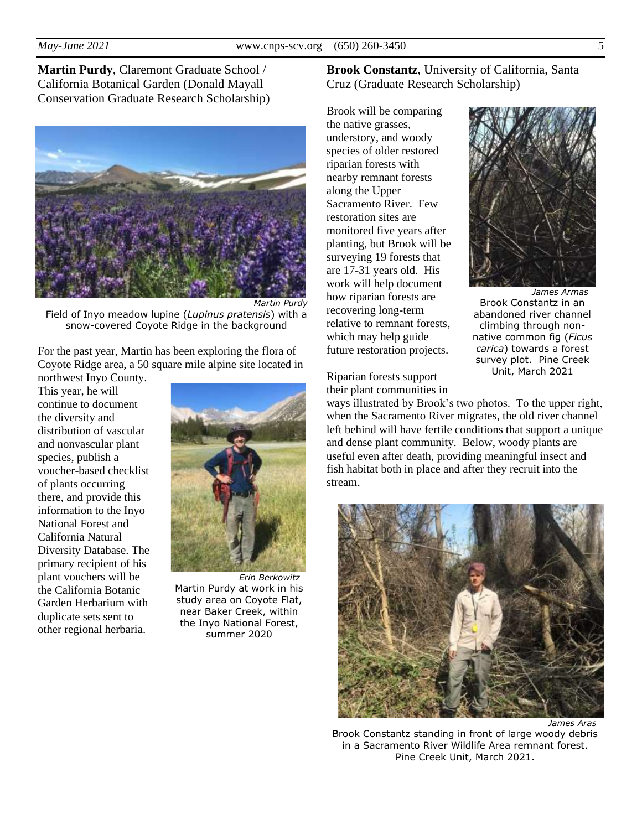**Martin Purdy**, Claremont Graduate School / California Botanical Garden (Donald Mayall Conservation Graduate Research Scholarship)



Field of Inyo meadow lupine (*Lupinus pratensis*) with a snow-covered Coyote Ridge in the background

For the past year, Martin has been exploring the flora of Coyote Ridge area, a 50 square mile alpine site located in

northwest Inyo County. This year, he will continue to document the diversity and distribution of vascular and nonvascular plant species, publish a voucher-based checklist of plants occurring there, and provide this information to the Inyo National Forest and California Natural Diversity Database. The primary recipient of his plant vouchers will be the California Botanic Garden Herbarium with duplicate sets sent to other regional herbaria.



*Erin Berkowitz* Martin Purdy at work in his study area on Coyote Flat, near Baker Creek, within the Inyo National Forest, summer 2020

**Brook Constantz**, University of California, Santa Cruz (Graduate Research Scholarship)

Brook will be comparing the native grasses, understory, and woody species of older restored riparian forests with nearby remnant forests along the Upper Sacramento River. Few restoration sites are monitored five years after planting, but Brook will be surveying 19 forests that are 17-31 years old. His work will help document how riparian forests are recovering long-term relative to remnant forests, which may help guide future restoration projects.



*James Armas* Brook Constantz in an abandoned river channel climbing through nonnative common fig (*Ficus carica*) towards a forest survey plot. Pine Creek Unit, March 2021

Riparian forests support their plant communities in

ways illustrated by Brook's two photos. To the upper right, when the Sacramento River migrates, the old river channel left behind will have fertile conditions that support a unique and dense plant community. Below, woody plants are useful even after death, providing meaningful insect and fish habitat both in place and after they recruit into the stream.



Brook Constantz standing in front of large woody debris in a Sacramento River Wildlife Area remnant forest. Pine Creek Unit, March 2021.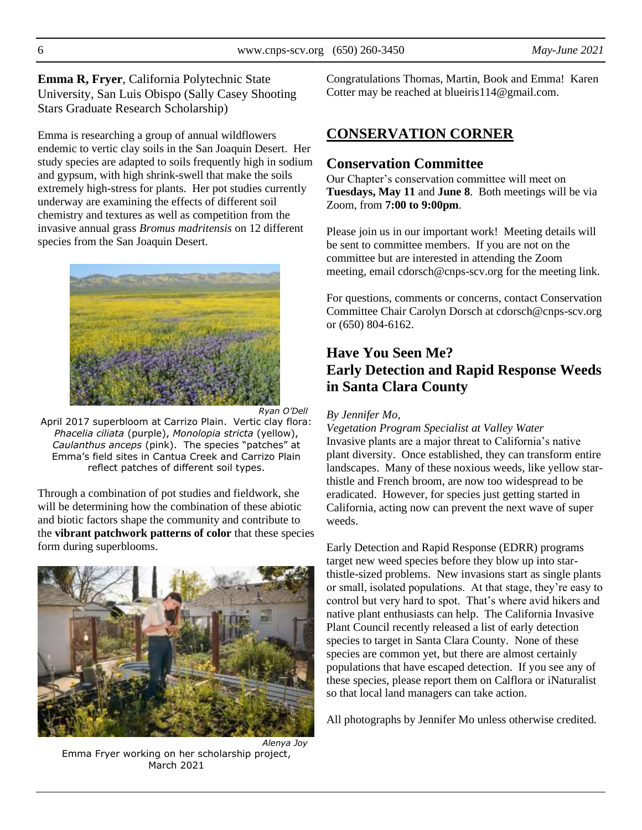**Emma R, Fryer**, California Polytechnic State University, San Luis Obispo (Sally Casey Shooting Stars Graduate Research Scholarship)

Emma is researching a group of annual wildflowers endemic to vertic clay soils in the San Joaquin Desert. Her study species are adapted to soils frequently high in sodium and gypsum, with high shrink-swell that make the soils extremely high-stress for plants. Her pot studies currently underway are examining the effects of different soil chemistry and textures as well as competition from the invasive annual grass *Bromus madritensis* on 12 different species from the San Joaquin Desert.



*Ryan O'Dell*

April 2017 superbloom at Carrizo Plain. Vertic clay flora: *Phacelia ciliata* (purple), *Monolopia stricta* (yellow), *Caulanthus anceps* (pink). The species "patches" at Emma's field sites in Cantua Creek and Carrizo Plain reflect patches of different soil types.

Through a combination of pot studies and fieldwork, she will be determining how the combination of these abiotic and biotic factors shape the community and contribute to the **vibrant patchwork patterns of color** that these species form during superblooms.



*Alenya Joy* Emma Fryer working on her scholarship project, March 2021

Congratulations Thomas, Martin, Book and Emma! Karen Cotter may be reached at blueiris114@gmail.com.

# **CONSERVATION CORNER**

## **Conservation Committee**

Our Chapter's conservation committee will meet on **Tuesdays, May 11** and **June 8**. Both meetings will be via Zoom, from **7:00 to 9:00pm**.

Please join us in our important work! Meeting details will be sent to committee members. If you are not on the committee but are interested in attending the Zoom meeting, email cdorsch@cnps-scv.org for the meeting link.

For questions, comments or concerns, contact Conservation Committee Chair Carolyn Dorsch at cdorsch@cnps-scv.org or (650) 804-6162.

# **Have You Seen Me? Early Detection and Rapid Response Weeds in Santa Clara County**

#### *By Jennifer Mo,*

*Vegetation Program Specialist at Valley Water* Invasive plants are a major threat to California's native plant diversity. Once established, they can transform entire landscapes. Many of these noxious weeds, like yellow starthistle and French broom, are now too widespread to be eradicated. However, for species just getting started in California, acting now can prevent the next wave of super weeds.

Early Detection and Rapid Response (EDRR) programs target new weed species before they blow up into starthistle-sized problems. New invasions start as single plants or small, isolated populations. At that stage, they're easy to control but very hard to spot. That's where avid hikers and native plant enthusiasts can help. The California Invasive Plant Council recently released a list of early detection species to target in Santa Clara County. None of these species are common yet, but there are almost certainly populations that have escaped detection. If you see any of these species, please report them on Calflora or iNaturalist so that local land managers can take action.

All photographs by Jennifer Mo unless otherwise credited.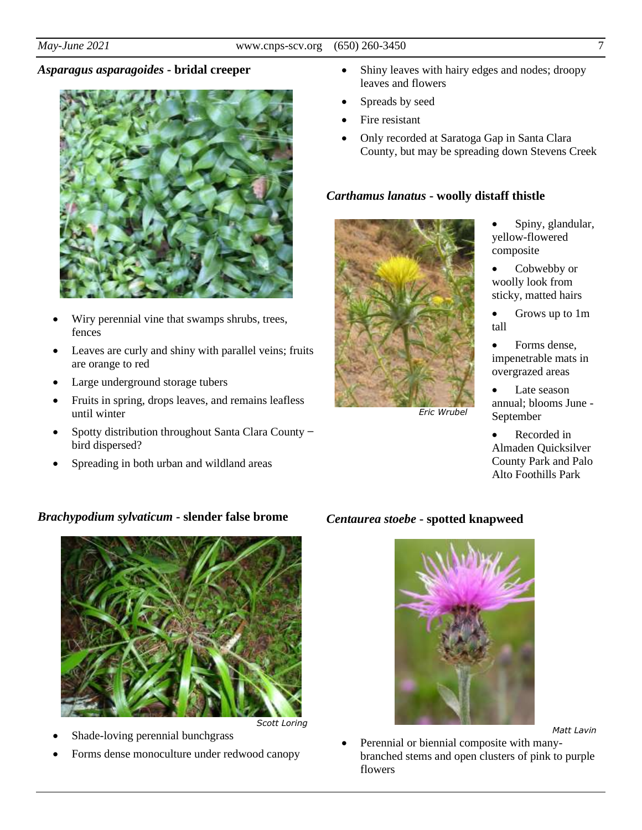#### *Asparagus asparagoides* **- bridal creeper**



- Wiry perennial vine that swamps shrubs, trees, fences
- Leaves are curly and shiny with parallel veins; fruits are orange to red
- Large underground storage tubers
- Fruits in spring, drops leaves, and remains leafless until winter
- Spotty distribution throughout Santa Clara County bird dispersed?
- Spreading in both urban and wildland areas

#### *Brachypodium sylvaticum* **- slender false brome**



*Scott Loring*

- Shade-loving perennial bunchgrass
- Forms dense monoculture under redwood canopy
- Shiny leaves with hairy edges and nodes; droopy leaves and flowers
- Spreads by seed
- Fire resistant
- Only recorded at Saratoga Gap in Santa Clara County, but may be spreading down Stevens Creek

#### *Carthamus lanatus* **- woolly distaff thistle**



*Eric Wrubel*

- Spiny, glandular, yellow-flowered composite
- Cobwebby or woolly look from sticky, matted hairs
- Grows up to 1m tall
- Forms dense, impenetrable mats in overgrazed areas
- Late season annual; blooms June - September
- Recorded in Almaden Quicksilver County Park and Palo Alto Foothills Park

#### *Centaurea stoebe* **- spotted knapweed**



*Matt Lavin*

• Perennial or biennial composite with manybranched stems and open clusters of pink to purple flowers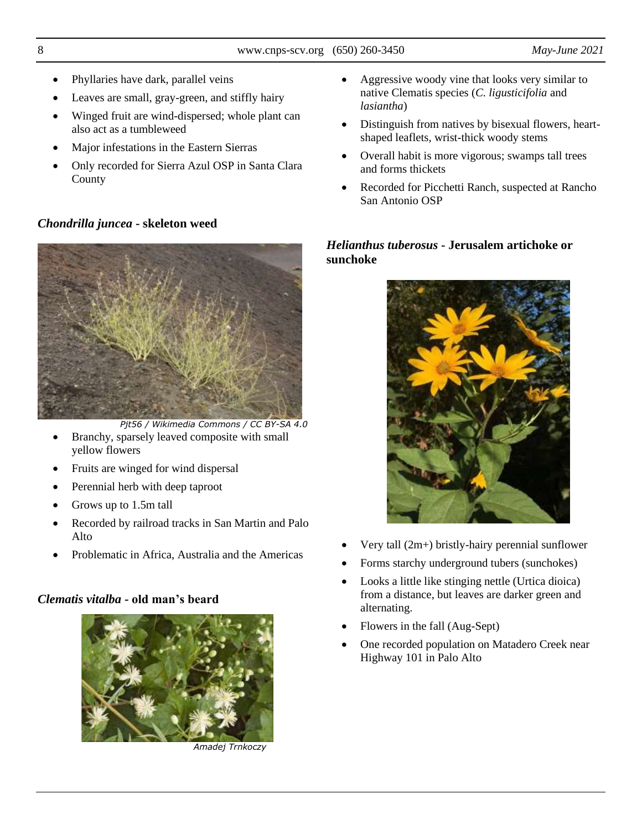- Phyllaries have dark, parallel veins
- Leaves are small, gray-green, and stiffly hairy
- Winged fruit are wind-dispersed; whole plant can also act as a tumbleweed
- Major infestations in the Eastern Sierras
- Only recorded for Sierra Azul OSP in Santa Clara County

#### *Chondrilla juncea* **- skeleton weed**



*Pjt56 / Wikimedia Commons / CC BY-SA 4.0*

- Branchy, sparsely leaved composite with small yellow flowers
- Fruits are winged for wind dispersal
- Perennial herb with deep taproot
- Grows up to 1.5m tall
- Recorded by railroad tracks in San Martin and Palo Alto
- Problematic in Africa, Australia and the Americas

### *Clematis vitalba* **- old man's beard**



*Amadej Trnkoczy*

- Aggressive woody vine that looks very similar to native Clematis species (*C. ligusticifolia* and *lasiantha*)
- Distinguish from natives by bisexual flowers, heartshaped leaflets, wrist-thick woody stems
- Overall habit is more vigorous; swamps tall trees and forms thickets
- Recorded for Picchetti Ranch, suspected at Rancho San Antonio OSP

## *Helianthus tuberosus* **- Jerusalem artichoke or sunchoke**



- Very tall (2m+) bristly-hairy perennial sunflower
- Forms starchy underground tubers (sunchokes)
- Looks a little like stinging nettle (Urtica dioica) from a distance, but leaves are darker green and alternating.
- Flowers in the fall (Aug-Sept)
- One recorded population on Matadero Creek near Highway 101 in Palo Alto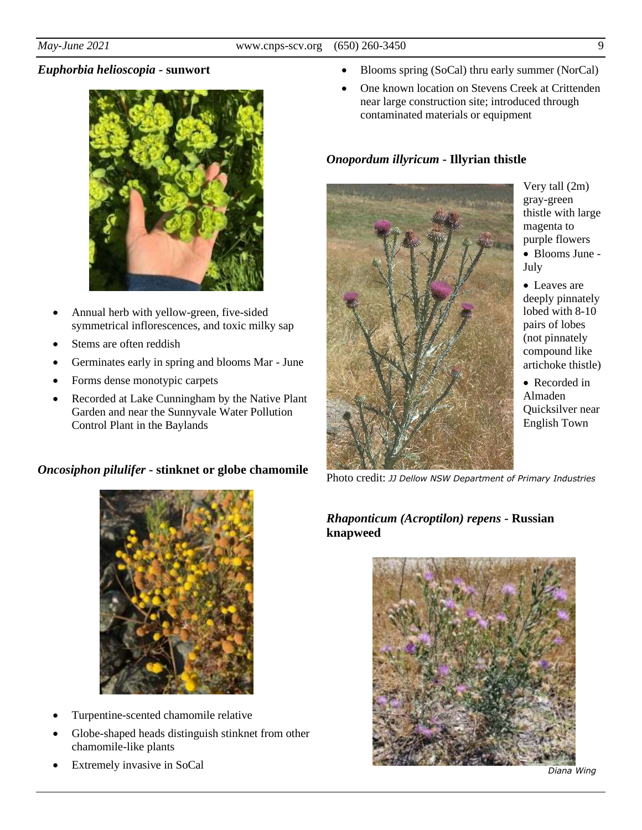## *Euphorbia helioscopia* **- sunwort**



- Annual herb with yellow-green, five-sided symmetrical inflorescences, and toxic milky sap
- Stems are often reddish
- Germinates early in spring and blooms Mar June
- Forms dense monotypic carpets
- Recorded at Lake Cunningham by the Native Plant Garden and near the Sunnyvale Water Pollution Control Plant in the Baylands

### *Oncosiphon pilulifer* **- stinknet or globe chamomile**



• One known location on Stevens Creek at Crittenden near large construction site; introduced through contaminated materials or equipment

## *Onopordum illyricum* **- Illyrian thistle**



Very tall (2m) gray-green thistle with large magenta to purple flowers

- Blooms June July
- Leaves are deeply pinnately lobed with 8-10 pairs of lobes (not pinnately compound like artichoke thistle)

• Recorded in Almaden Quicksilver near English Town

Photo credit: *JJ Dellow NSW Department of Primary Industries*

## *Rhaponticum (Acroptilon) repens* **- Russian knapweed**





- Turpentine-scented chamomile relative
- Globe-shaped heads distinguish stinknet from other chamomile-like plants
- Extremely invasive in SoCal

*Diana Wing*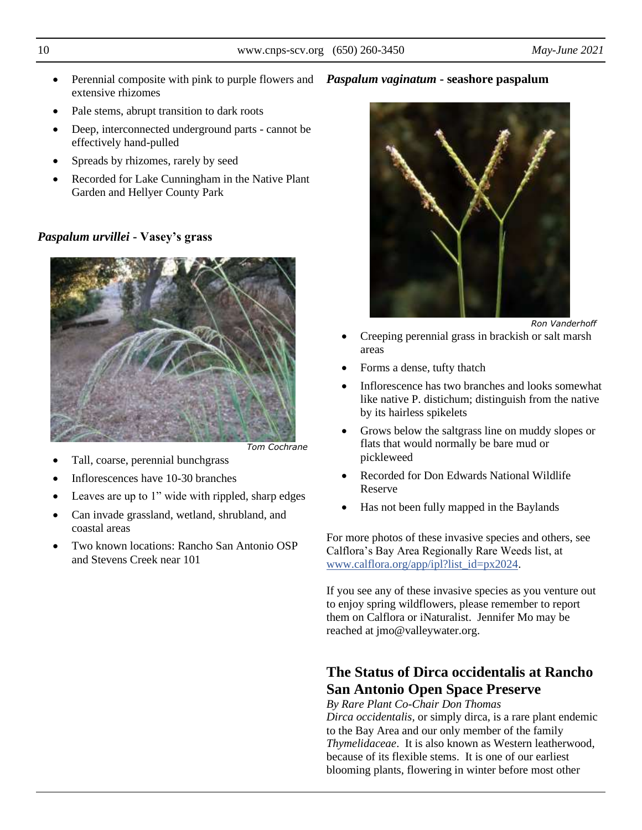- *Tom Cochrane*
- 
- Leaves are up to 1" wide with rippled, sharp edges
- Can invade grassland, wetland, shrubland, and coastal areas
- Two known locations: Rancho San Antonio OSP and Stevens Creek near 101

If you see any of these invasive species as you venture out to enjoy spring wildflowers, please remember to report them on Calflora or iNaturalist. Jennifer Mo may be reached at jmo@valleywater.org.

# **The Status of Dirca occidentalis at Rancho San Antonio Open Space Preserve**

*By Rare Plant Co-Chair Don Thomas*

*Dirca occidentalis,* or simply dirca, is a rare plant endemic to the Bay Area and our only member of the family *Thymelidaceae*. It is also known as Western leatherwood, because of its flexible stems. It is one of our earliest blooming plants, flowering in winter before most other

• Perennial composite with pink to purple flowers and *Paspalum vaginatum* **- seashore paspalum** extensive rhizomes

- Pale stems, abrupt transition to dark roots
- Deep, interconnected underground parts cannot be effectively hand-pulled
- Spreads by rhizomes, rarely by seed
- Recorded for Lake Cunningham in the Native Plant Garden and Hellyer County Park

# *Paspalum urvillei* **- Vasey's grass**



*Ron Vanderhoff*

- Creeping perennial grass in brackish or salt marsh areas
- Forms a dense, tufty thatch
- Inflorescence has two branches and looks somewhat like native P. distichum; distinguish from the native by its hairless spikelets
- Grows below the saltgrass line on muddy slopes or flats that would normally be bare mud or pickleweed
- Recorded for Don Edwards National Wildlife Reserve
- Has not been fully mapped in the Baylands

For more photos of these invasive species and others, see Calflora's Bay Area Regionally Rare Weeds list, at [www.calflora.org/app/ipl?list\\_id=px2024.](https://www.calflora.org/app/ipl?list_id=px2024)

- 
- Tall, coarse, perennial bunchgrass
- Inflorescences have 10-30 branches
-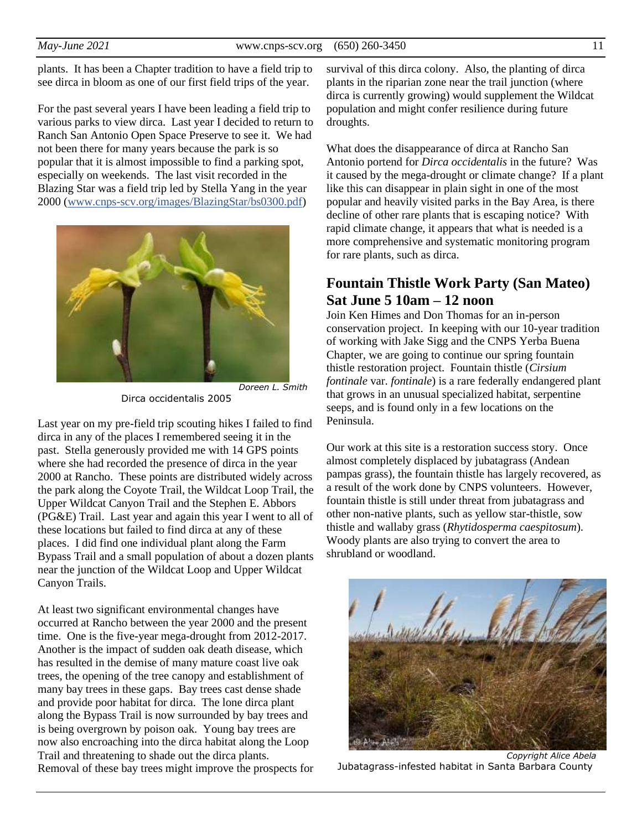plants. It has been a Chapter tradition to have a field trip to see dirca in bloom as one of our first field trips of the year.

For the past several years I have been leading a field trip to various parks to view dirca. Last year I decided to return to Ranch San Antonio Open Space Preserve to see it. We had not been there for many years because the park is so popular that it is almost impossible to find a parking spot, especially on weekends. The last visit recorded in the Blazing Star was a field trip led by Stella Yang in the year 2000 [\(www.cnps-scv.org/images/BlazingStar/bs0300.pdf\)](https://www.cnps-scv.org/images/BlazingStar/bs0300.pdf.)



Dirca occidentalis 2005

Last year on my pre-field trip scouting hikes I failed to find dirca in any of the places I remembered seeing it in the past. Stella generously provided me with 14 GPS points where she had recorded the presence of dirca in the year 2000 at Rancho. These points are distributed widely across the park along the Coyote Trail, the Wildcat Loop Trail, the Upper Wildcat Canyon Trail and the Stephen E. Abbors (PG&E) Trail. Last year and again this year I went to all of these locations but failed to find dirca at any of these places. I did find one individual plant along the Farm Bypass Trail and a small population of about a dozen plants near the junction of the Wildcat Loop and Upper Wildcat Canyon Trails.

At least two significant environmental changes have occurred at Rancho between the year 2000 and the present time. One is the five-year mega-drought from 2012-2017. Another is the impact of sudden oak death disease, which has resulted in the demise of many mature coast live oak trees, the opening of the tree canopy and establishment of many bay trees in these gaps. Bay trees cast dense shade and provide poor habitat for dirca. The lone dirca plant along the Bypass Trail is now surrounded by bay trees and is being overgrown by poison oak. Young bay trees are now also encroaching into the dirca habitat along the Loop Trail and threatening to shade out the dirca plants. Removal of these bay trees might improve the prospects for survival of this dirca colony. Also, the planting of dirca plants in the riparian zone near the trail junction (where dirca is currently growing) would supplement the Wildcat population and might confer resilience during future droughts.

What does the disappearance of dirca at Rancho San Antonio portend for *Dirca occidentalis* in the future? Was it caused by the mega-drought or climate change? If a plant like this can disappear in plain sight in one of the most popular and heavily visited parks in the Bay Area, is there decline of other rare plants that is escaping notice? With rapid climate change, it appears that what is needed is a more comprehensive and systematic monitoring program for rare plants, such as dirca.

# **Fountain Thistle Work Party (San Mateo) Sat June 5 10am – 12 noon**

Join Ken Himes and Don Thomas for an in-person conservation project. In keeping with our 10-year tradition of working with Jake Sigg and the CNPS Yerba Buena Chapter, we are going to continue our spring fountain thistle restoration project. Fountain thistle (*Cirsium fontinale* var*. fontinale*) is a rare federally endangered plant that grows in an unusual specialized habitat, serpentine seeps, and is found only in a few locations on the Peninsula.

Our work at this site is a restoration success story. Once almost completely displaced by jubatagrass (Andean pampas grass), the fountain thistle has largely recovered, as a result of the work done by CNPS volunteers. However, fountain thistle is still under threat from jubatagrass and other non-native plants, such as yellow star-thistle, sow thistle and wallaby grass (*Rhytidosperma caespitosum*). Woody plants are also trying to convert the area to shrubland or woodland.



*Copyright Alice Abela* Jubatagrass-infested habitat in Santa Barbara County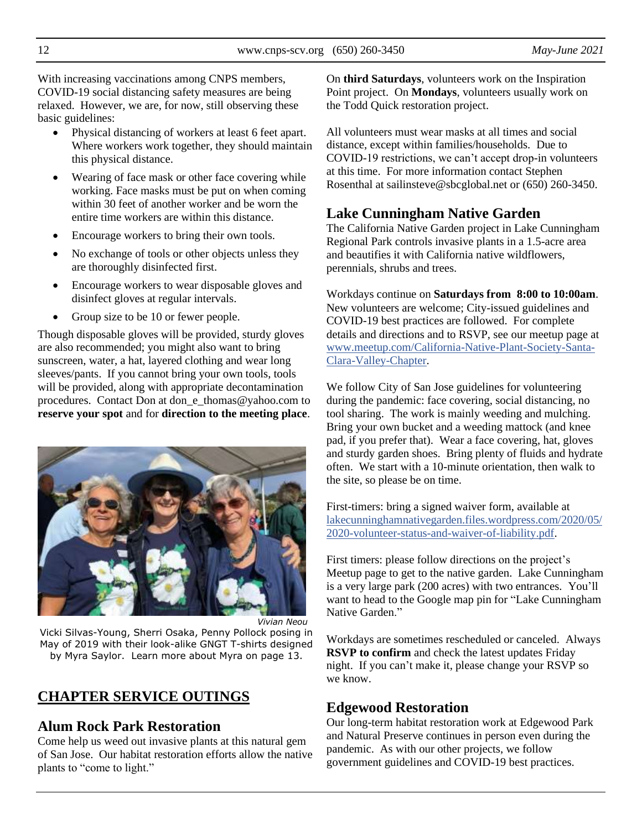With increasing vaccinations among CNPS members, COVID-19 social distancing safety measures are being relaxed. However, we are, for now, still observing these basic guidelines:

- Physical distancing of workers at least 6 feet apart. Where workers work together, they should maintain this physical distance.
- Wearing of face mask or other face covering while working. Face masks must be put on when coming within 30 feet of another worker and be worn the entire time workers are within this distance.
- Encourage workers to bring their own tools.
- No exchange of tools or other objects unless they are thoroughly disinfected first.
- Encourage workers to wear disposable gloves and disinfect gloves at regular intervals.
- Group size to be 10 or fewer people.

Though disposable gloves will be provided, sturdy gloves are also recommended; you might also want to bring sunscreen, water, a hat, layered clothing and wear long sleeves/pants. If you cannot bring your own tools, tools will be provided, along with appropriate decontamination procedures. Contact Don at don\_e\_thomas@yahoo.com to **reserve your spot** and for **direction to the meeting place**.



*Vivian Neou*

Vicki Silvas-Young, Sherri Osaka, Penny Pollock posing in May of 2019 with their look-alike GNGT T-shirts designed by Myra Saylor. Learn more about Myra on page 13.

# **CHAPTER SERVICE OUTINGS**

### **Alum Rock Park Restoration**

Come help us weed out invasive plants at this natural gem of San Jose. Our habitat restoration efforts allow the native plants to "come to light."

On **third Saturdays**, volunteers work on the Inspiration Point project. On **Mondays**, volunteers usually work on the Todd Quick restoration project.

All volunteers must wear masks at all times and social distance, except within families/households. Due to COVID-19 restrictions, we can't accept drop-in volunteers at this time. For more information contact Stephen Rosenthal at sailinsteve@sbcglobal.net or (650) 260-3450.

# **Lake Cunningham Native Garden**

The California Native Garden project in Lake Cunningham Regional Park controls invasive plants in a 1.5-acre area and beautifies it with California native wildflowers, perennials, shrubs and trees.

Workdays continue on **Saturdays from 8:00 to 10:00am**. New volunteers are welcome; City-issued guidelines and COVID-19 best practices are followed. For complete details and directions and to RSVP, see our meetup page at [www.meetup.com/California-Native-Plant-Society-Santa-](https://www.meetup.com/California-Native-Plant-Society-Santa-Clara-Valley-Chapter/)[Clara-Valley-Chapter.](https://www.meetup.com/California-Native-Plant-Society-Santa-Clara-Valley-Chapter/)

We follow City of San Jose guidelines for volunteering during the pandemic: face covering, social distancing, no tool sharing. The work is mainly weeding and mulching. Bring your own bucket and a weeding mattock (and knee pad, if you prefer that). Wear a face covering, hat, gloves and sturdy garden shoes. Bring plenty of fluids and hydrate often. We start with a 10-minute orientation, then walk to the site, so please be on time.

First-timers: bring a signed waiver form, available at [lakecunninghamnativegarden.files.wordpress.com/2020/05/](https://lakecunninghamnativegarden.files.wordpress.com/2020/05/2020-volunteer-status-and-waiver-of-liability.pdf) [2020-volunteer-status-and-waiver-of-liability.pdf.](https://lakecunninghamnativegarden.files.wordpress.com/2020/05/2020-volunteer-status-and-waiver-of-liability.pdf)

First timers: please follow directions on the project's Meetup page to get to the native garden. Lake Cunningham is a very large park (200 acres) with two entrances. You'll want to head to the Google map pin for "Lake Cunningham Native Garden<sup>"</sup>

Workdays are sometimes rescheduled or canceled. Always **RSVP to confirm** and check the latest updates Friday night. If you can't make it, please change your RSVP so we know.

## **Edgewood Restoration**

Our long-term habitat restoration work at Edgewood Park and Natural Preserve continues in person even during the pandemic. As with our other projects, we follow government guidelines and COVID-19 best practices.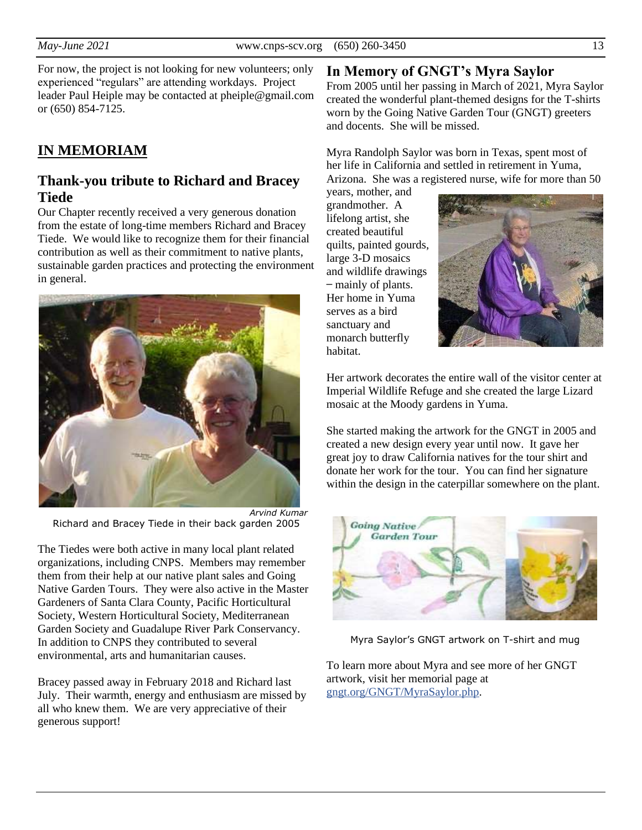For now, the project is not looking for new volunteers; only experienced "regulars" are attending workdays. Project leader Paul Heiple may be contacted at pheiple@gmail.com or (650) 854-7125.

# **IN MEMORIAM**

## **Thank-you tribute to Richard and Bracey Tiede**

Our Chapter recently received a very generous donation from the estate of long-time members Richard and Bracey Tiede. We would like to recognize them for their financial contribution as well as their commitment to native plants, sustainable garden practices and protecting the environment in general.



*Arvind Kumar* Richard and Bracey Tiede in their back garden 2005

The Tiedes were both active in many local plant related organizations, including CNPS. Members may remember them from their help at our native plant sales and Going Native Garden Tours. They were also active in the Master Gardeners of Santa Clara County, Pacific Horticultural Society, Western Horticultural Society, Mediterranean Garden Society and Guadalupe River Park Conservancy. In addition to CNPS they contributed to several environmental, arts and humanitarian causes.

Bracey passed away in February 2018 and Richard last July. Their warmth, energy and enthusiasm are missed by all who knew them. We are very appreciative of their generous support!

# **In Memory of GNGT's Myra Saylor**

From 2005 until her passing in March of 2021, Myra Saylor created the wonderful plant-themed designs for the T-shirts worn by the Going Native Garden Tour (GNGT) greeters and docents. She will be missed.

Myra Randolph Saylor was born in Texas, spent most of her life in California and settled in retirement in Yuma, Arizona. She was a registered nurse, wife for more than 50

years, mother, and grandmother. A lifelong artist, she created beautiful quilts, painted gourds, large 3-D mosaics and wildlife drawings – mainly of plants. Her home in Yuma serves as a bird sanctuary and monarch butterfly habitat.



Her artwork decorates the entire wall of the visitor center at Imperial Wildlife Refuge and she created the large Lizard mosaic at the Moody gardens in Yuma.

She started making the artwork for the GNGT in 2005 and created a new design every year until now. It gave her great joy to draw California natives for the tour shirt and donate her work for the tour. You can find her signature within the design in the caterpillar somewhere on the plant.



Myra Saylor's GNGT artwork on T-shirt and mug

To learn more about Myra and see more of her GNGT artwork, visit her memorial page at [gngt.org/GNGT/MyraSaylor.php.](https://gngt.org/GNGT/MyraSaylor.php)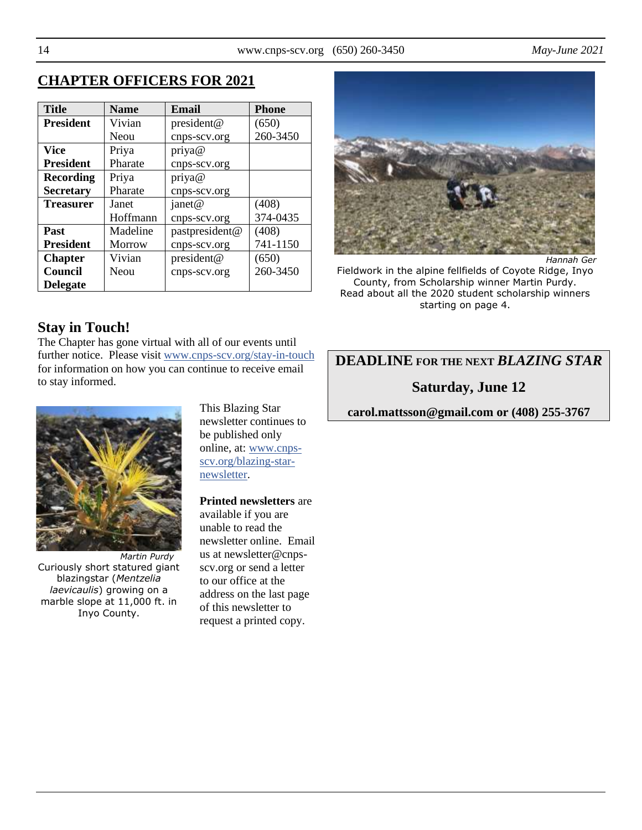# **CHAPTER OFFICERS FOR 2021**

| <b>Title</b>     | <b>Name</b>   | Email          | <b>Phone</b> |
|------------------|---------------|----------------|--------------|
| <b>President</b> | Vivian        | president@     | (650)        |
|                  | Neou          | cnps-scv.org   | 260-3450     |
| <b>Vice</b>      | Priya         | priya@         |              |
| <b>President</b> | Pharate       | cnps-scv.org   |              |
| <b>Recording</b> | Priya         | priya@         |              |
| <b>Secretary</b> | Pharate       | cnps-scv.org   |              |
| <b>Treasurer</b> | Janet         | janet@         | (408)        |
|                  | Hoffmann      | cnps-scv.org   | 374-0435     |
| Past             | Madeline      | pastpresident@ | (408)        |
| <b>President</b> | <b>Morrow</b> | cnps-scv.org   | 741-1150     |
| <b>Chapter</b>   | Vivian        | president@     | (650)        |
| Council          | Neou          | cnps-scv.org   | 260-3450     |
| <b>Delegate</b>  |               |                |              |

# **Stay in Touch!**

The Chapter has gone virtual with all of our events until further notice. Please visit [www.cnps-scv.org/stay-in-touch](https://www.cnps-scv.org/stay-in-touch) for information on how you can continue to receive email to stay informed.



*Martin Purdy* Curiously short statured giant blazingstar (*Mentzelia laevicaulis*) growing on a marble slope at 11,000 ft. in Inyo County.

This Blazing Star newsletter continues to be published only online, at: [www.cnps](https://www.cnps-scv.org/blazing-star-newsletter)[scv.org/blazing-star](https://www.cnps-scv.org/blazing-star-newsletter)[newsletter.](https://www.cnps-scv.org/blazing-star-newsletter)

#### **Printed newsletters** are

available if you are unable to read the newsletter online. Email us at newsletter@cnpsscv.org or send a letter to our office at the address on the last page of this newsletter to request a printed copy.



Fieldwork in the alpine fellfields of Coyote Ridge, Inyo County, from Scholarship winner Martin Purdy. Read about all the 2020 student scholarship winners starting on page 4.

# **DEADLINE FOR THE NEXT** *BLAZING STAR*

## **Saturday, June 12**

**carol.mattsson@gmail.com or (408) 255-3767**